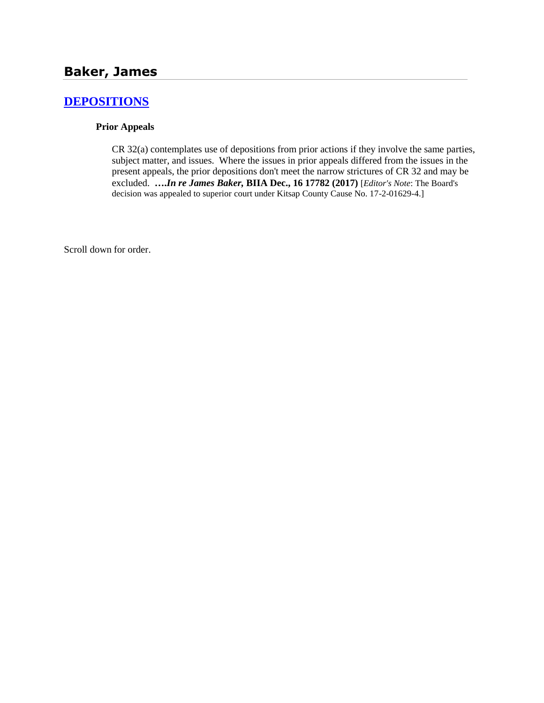## **[DEPOSITIONS](http://www.biia.wa.gov/SDSubjectIndex.html#DEPOSITIONS)**

#### **Prior Appeals**

CR 32(a) contemplates use of depositions from prior actions if they involve the same parties, subject matter, and issues. Where the issues in prior appeals differed from the issues in the present appeals, the prior depositions don't meet the narrow strictures of CR 32 and may be excluded. **….***In re James Baker,* **BIIA Dec., 16 17782 (2017)** [*Editor's Note*: The Board's decision was appealed to superior court under Kitsap County Cause No. 17-2-01629-4.]

Scroll down for order.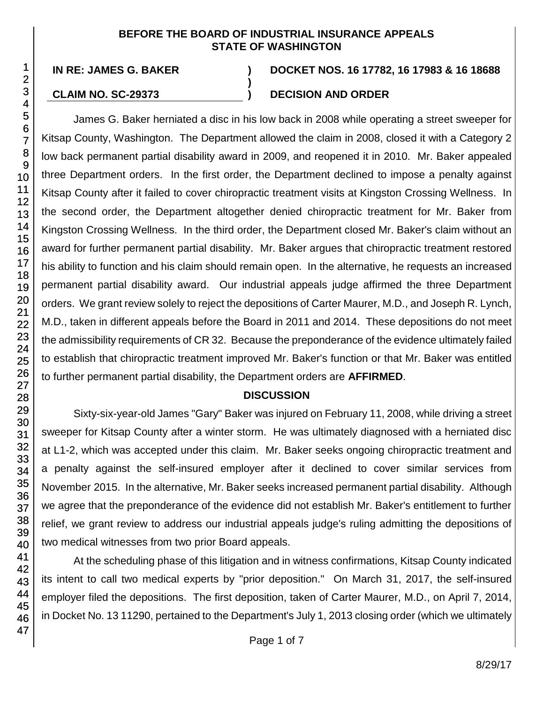#### **BEFORE THE BOARD OF INDUSTRIAL INSURANCE APPEALS STATE OF WASHINGTON**

**)**

# **IN RE: JAMES G. BAKER ) DOCKET NOS. 16 17782, 16 17983 & 16 18688**

### **CLAIM NO. SC-29373 ) DECISION AND ORDER**

James G. Baker herniated a disc in his low back in 2008 while operating a street sweeper for Kitsap County, Washington. The Department allowed the claim in 2008, closed it with a Category 2 low back permanent partial disability award in 2009, and reopened it in 2010. Mr. Baker appealed three Department orders. In the first order, the Department declined to impose a penalty against Kitsap County after it failed to cover chiropractic treatment visits at Kingston Crossing Wellness. In the second order, the Department altogether denied chiropractic treatment for Mr. Baker from Kingston Crossing Wellness. In the third order, the Department closed Mr. Baker's claim without an award for further permanent partial disability. Mr. Baker argues that chiropractic treatment restored his ability to function and his claim should remain open. In the alternative, he requests an increased permanent partial disability award. Our industrial appeals judge affirmed the three Department orders. We grant review solely to reject the depositions of Carter Maurer, M.D., and Joseph R. Lynch, M.D., taken in different appeals before the Board in 2011 and 2014. These depositions do not meet the admissibility requirements of CR 32. Because the preponderance of the evidence ultimately failed to establish that chiropractic treatment improved Mr. Baker's function or that Mr. Baker was entitled to further permanent partial disability, the Department orders are **AFFIRMED**.

#### **DISCUSSION**

Sixty-six-year-old James "Gary" Baker was injured on February 11, 2008, while driving a street sweeper for Kitsap County after a winter storm. He was ultimately diagnosed with a herniated disc at L1-2, which was accepted under this claim. Mr. Baker seeks ongoing chiropractic treatment and a penalty against the self-insured employer after it declined to cover similar services from November 2015. In the alternative, Mr. Baker seeks increased permanent partial disability. Although we agree that the preponderance of the evidence did not establish Mr. Baker's entitlement to further relief, we grant review to address our industrial appeals judge's ruling admitting the depositions of two medical witnesses from two prior Board appeals.

At the scheduling phase of this litigation and in witness confirmations, Kitsap County indicated its intent to call two medical experts by "prior deposition." On March 31, 2017, the self-insured employer filed the depositions. The first deposition, taken of Carter Maurer, M.D., on April 7, 2014, in Docket No. 13 11290, pertained to the Department's July 1, 2013 closing order (which we ultimately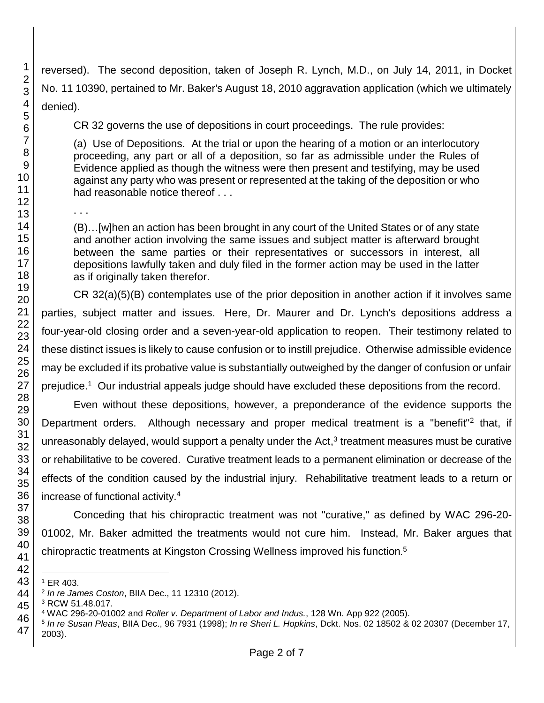reversed). The second deposition, taken of Joseph R. Lynch, M.D., on July 14, 2011, in Docket No. 11 10390, pertained to Mr. Baker's August 18, 2010 aggravation application (which we ultimately denied).

CR 32 governs the use of depositions in court proceedings. The rule provides:

(a) Use of Depositions. At the trial or upon the hearing of a motion or an interlocutory proceeding, any part or all of a deposition, so far as admissible under the Rules of Evidence applied as though the witness were then present and testifying, may be used against any party who was present or represented at the taking of the deposition or who had reasonable notice thereof . . .

(B)…[w]hen an action has been brought in any court of the United States or of any state and another action involving the same issues and subject matter is afterward brought between the same parties or their representatives or successors in interest, all depositions lawfully taken and duly filed in the former action may be used in the latter as if originally taken therefor.

CR 32(a)(5)(B) contemplates use of the prior deposition in another action if it involves same parties, subject matter and issues. Here, Dr. Maurer and Dr. Lynch's depositions address a four-year-old closing order and a seven-year-old application to reopen. Their testimony related to these distinct issues is likely to cause confusion or to instill prejudice. Otherwise admissible evidence may be excluded if its probative value is substantially outweighed by the danger of confusion or unfair prejudice.<sup>1</sup> Our industrial appeals judge should have excluded these depositions from the record.

Even without these depositions, however, a preponderance of the evidence supports the Department orders. Although necessary and proper medical treatment is a "benefit"<sup>2</sup> that, if unreasonably delayed, would support a penalty under the Act,<sup>3</sup> treatment measures must be curative or rehabilitative to be covered. Curative treatment leads to a permanent elimination or decrease of the effects of the condition caused by the industrial injury. Rehabilitative treatment leads to a return or increase of functional activity.<sup>4</sup>

Conceding that his chiropractic treatment was not "curative," as defined by WAC 296-20- 01002, Mr. Baker admitted the treatments would not cure him. Instead, Mr. Baker argues that chiropractic treatments at Kingston Crossing Wellness improved his function*.* 5

l ER 403.

. . .

*In re James Coston*, BIIA Dec., 11 12310 (2012).

RCW 51.48.017.

WAC 296-20-01002 and *Roller v. Department of Labor and Indus.*, 128 Wn. App 922 (2005).

 *In re Susan Pleas*, BIIA Dec., 96 7931 (1998); *In re Sheri L. Hopkins*, Dckt. Nos. 02 18502 & 02 20307 (December 17, 2003).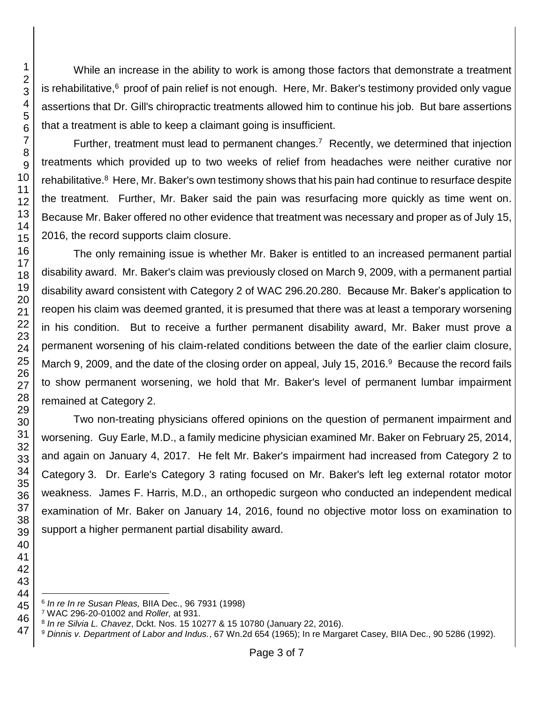While an increase in the ability to work is among those factors that demonstrate a treatment is rehabilitative, proof of pain relief is not enough. Here, Mr. Baker's testimony provided only vague assertions that Dr. Gill's chiropractic treatments allowed him to continue his job. But bare assertions that a treatment is able to keep a claimant going is insufficient.

Further, treatment must lead to permanent changes.<sup>7</sup> Recently, we determined that injection treatments which provided up to two weeks of relief from headaches were neither curative nor rehabilitative.<sup>8</sup> Here, Mr. Baker's own testimony shows that his pain had continue to resurface despite the treatment. Further, Mr. Baker said the pain was resurfacing more quickly as time went on. Because Mr. Baker offered no other evidence that treatment was necessary and proper as of July 15, 2016, the record supports claim closure.

The only remaining issue is whether Mr. Baker is entitled to an increased permanent partial disability award. Mr. Baker's claim was previously closed on March 9, 2009, with a permanent partial disability award consistent with Category 2 of WAC 296.20.280. Because Mr. Baker's application to reopen his claim was deemed granted, it is presumed that there was at least a temporary worsening in his condition. But to receive a further permanent disability award, Mr. Baker must prove a permanent worsening of his claim-related conditions between the date of the earlier claim closure, March 9, 2009, and the date of the closing order on appeal, July 15, 2016.<sup>9</sup> Because the record fails to show permanent worsening, we hold that Mr. Baker's level of permanent lumbar impairment remained at Category 2.

Two non-treating physicians offered opinions on the question of permanent impairment and worsening. Guy Earle, M.D., a family medicine physician examined Mr. Baker on February 25, 2014, and again on January 4, 2017. He felt Mr. Baker's impairment had increased from Category 2 to Category 3. Dr. Earle's Category 3 rating focused on Mr. Baker's left leg external rotator motor weakness. James F. Harris, M.D., an orthopedic surgeon who conducted an independent medical examination of Mr. Baker on January 14, 2016, found no objective motor loss on examination to support a higher permanent partial disability award.

l *In re In re Susan Pleas,* BIIA Dec., 96 7931 (1998)

WAC 296-20-01002 and *Roller,* at 931.

*In re Silvia L. Chavez*, Dckt. Nos. 15 10277 & 15 10780 (January 22, 2016).

*Dinnis v. Department of Labor and Indus.*, 67 Wn.2d 654 (1965); In re Margaret Casey, BIIA Dec., 90 5286 (1992).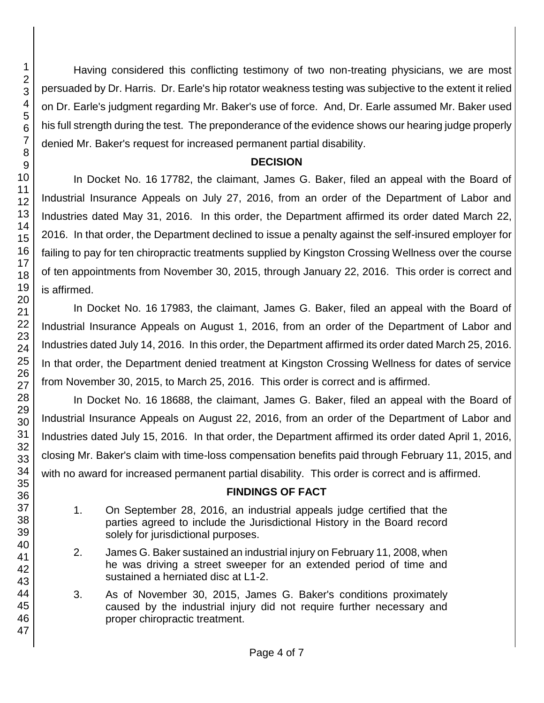Having considered this conflicting testimony of two non-treating physicians, we are most persuaded by Dr. Harris. Dr. Earle's hip rotator weakness testing was subjective to the extent it relied on Dr. Earle's judgment regarding Mr. Baker's use of force. And, Dr. Earle assumed Mr. Baker used his full strength during the test. The preponderance of the evidence shows our hearing judge properly denied Mr. Baker's request for increased permanent partial disability.

#### **DECISION**

In Docket No. 16 17782, the claimant, James G. Baker, filed an appeal with the Board of Industrial Insurance Appeals on July 27, 2016, from an order of the Department of Labor and Industries dated May 31, 2016. In this order, the Department affirmed its order dated March 22, 2016. In that order, the Department declined to issue a penalty against the self-insured employer for failing to pay for ten chiropractic treatments supplied by Kingston Crossing Wellness over the course of ten appointments from November 30, 2015, through January 22, 2016. This order is correct and is affirmed.

In Docket No. 16 17983, the claimant, James G. Baker, filed an appeal with the Board of Industrial Insurance Appeals on August 1, 2016, from an order of the Department of Labor and Industries dated July 14, 2016. In this order, the Department affirmed its order dated March 25, 2016. In that order, the Department denied treatment at Kingston Crossing Wellness for dates of service from November 30, 2015, to March 25, 2016. This order is correct and is affirmed.

In Docket No. 16 18688, the claimant, James G. Baker, filed an appeal with the Board of Industrial Insurance Appeals on August 22, 2016, from an order of the Department of Labor and Industries dated July 15, 2016. In that order, the Department affirmed its order dated April 1, 2016, closing Mr. Baker's claim with time-loss compensation benefits paid through February 11, 2015, and with no award for increased permanent partial disability. This order is correct and is affirmed.

#### **FINDINGS OF FACT**

- 1. On September 28, 2016, an industrial appeals judge certified that the parties agreed to include the Jurisdictional History in the Board record solely for jurisdictional purposes.
- 2. James G. Baker sustained an industrial injury on February 11, 2008, when he was driving a street sweeper for an extended period of time and sustained a herniated disc at L1-2.
- 3. As of November 30, 2015, James G. Baker's conditions proximately caused by the industrial injury did not require further necessary and proper chiropractic treatment.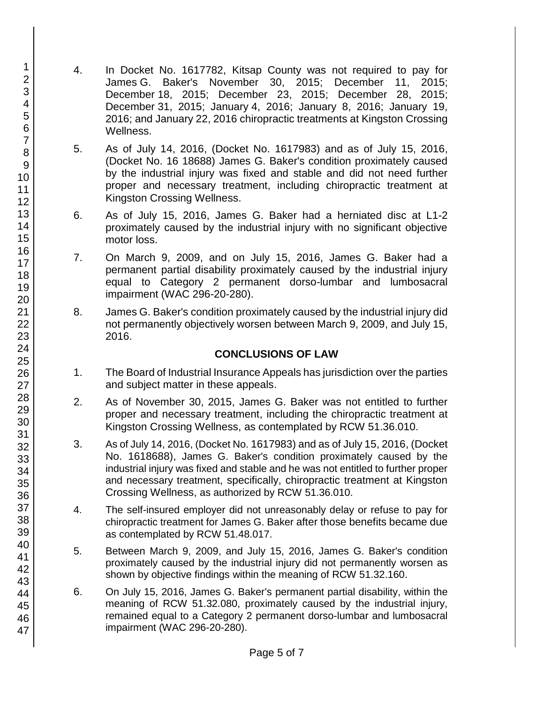- 4. In Docket No. 1617782, Kitsap County was not required to pay for James G. Baker's November 30, 2015; December 11, 2015; December 18, 2015; December 23, 2015; December 28, 2015; December 31, 2015; January 4, 2016; January 8, 2016; January 19, 2016; and January 22, 2016 chiropractic treatments at Kingston Crossing Wellness.
- 5. As of July 14, 2016, (Docket No. 1617983) and as of July 15, 2016, (Docket No. 16 18688) James G. Baker's condition proximately caused by the industrial injury was fixed and stable and did not need further proper and necessary treatment, including chiropractic treatment at Kingston Crossing Wellness.
- 6. As of July 15, 2016, James G. Baker had a herniated disc at L1-2 proximately caused by the industrial injury with no significant objective motor loss.
- 7. On March 9, 2009, and on July 15, 2016, James G. Baker had a permanent partial disability proximately caused by the industrial injury equal to Category 2 permanent dorso-lumbar and lumbosacral impairment (WAC 296-20-280).
- 8. James G. Baker's condition proximately caused by the industrial injury did not permanently objectively worsen between March 9, 2009, and July 15, 2016.

#### **CONCLUSIONS OF LAW**

- 1. The Board of Industrial Insurance Appeals has jurisdiction over the parties and subject matter in these appeals.
- 2. As of November 30, 2015, James G. Baker was not entitled to further proper and necessary treatment, including the chiropractic treatment at Kingston Crossing Wellness, as contemplated by RCW 51.36.010.
- 3. As of July 14, 2016, (Docket No. 1617983) and as of July 15, 2016, (Docket No. 1618688), James G. Baker's condition proximately caused by the industrial injury was fixed and stable and he was not entitled to further proper and necessary treatment, specifically, chiropractic treatment at Kingston Crossing Wellness, as authorized by RCW 51.36.010.
- 4. The self-insured employer did not unreasonably delay or refuse to pay for chiropractic treatment for James G. Baker after those benefits became due as contemplated by RCW 51.48.017.
- 5. Between March 9, 2009, and July 15, 2016, James G. Baker's condition proximately caused by the industrial injury did not permanently worsen as shown by objective findings within the meaning of RCW 51.32.160.
- 6. On July 15, 2016, James G. Baker's permanent partial disability, within the meaning of RCW 51.32.080, proximately caused by the industrial injury, remained equal to a Category 2 permanent dorso-lumbar and lumbosacral impairment (WAC 296-20-280).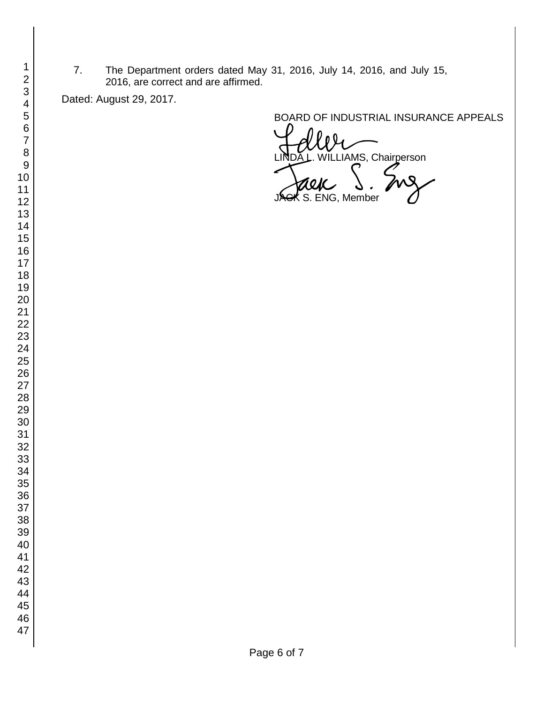7. The Department orders dated May 31, 2016, July 14, 2016, and July 15, 2016, are correct and are affirmed.

Dated: August 29, 2017.

BOARD OF INDUSTRIAL INSURANCE APPEALS

**WELT**<br>VILLIAMS, Chairperson

S. ENG, Member